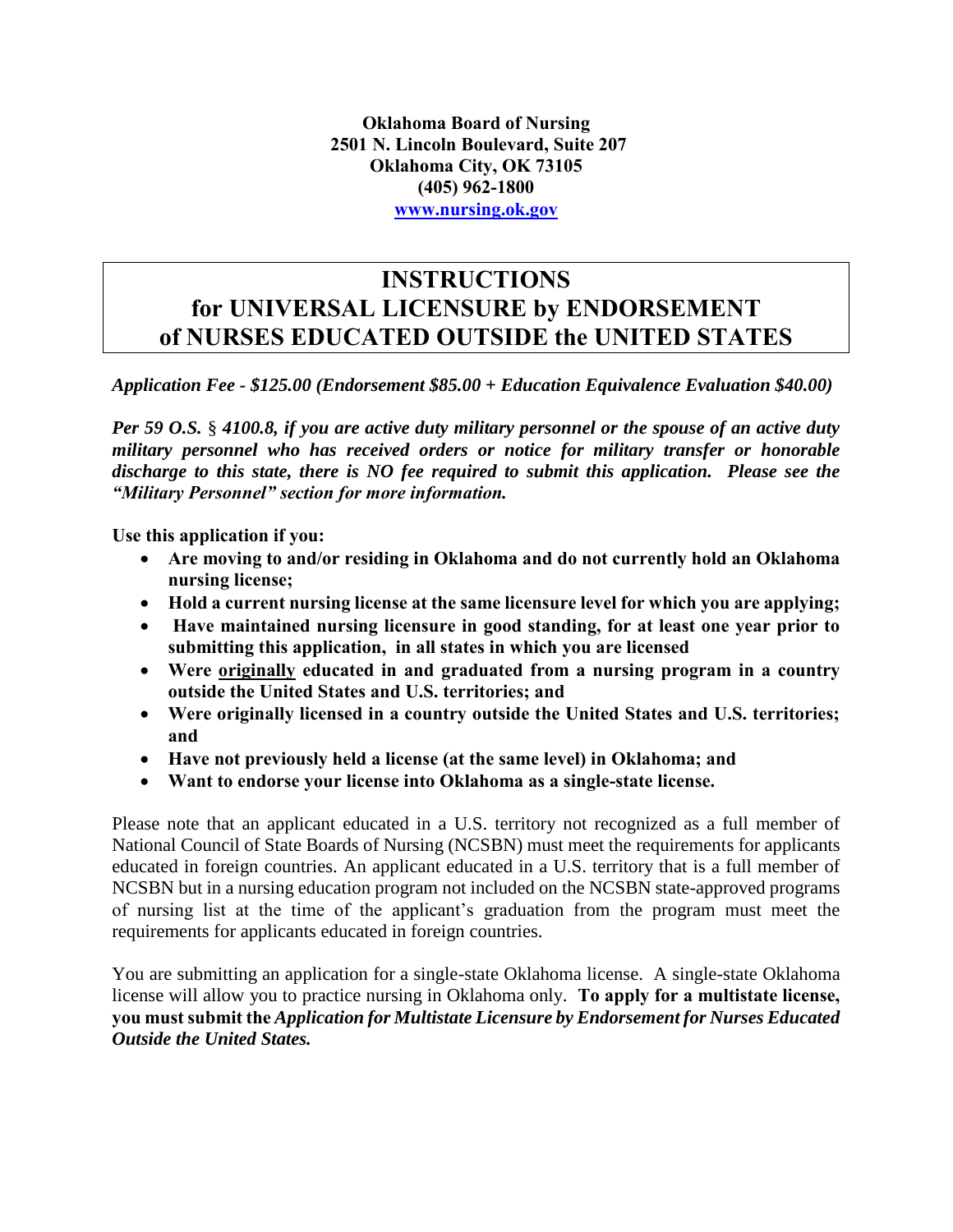## **INSTRUCTIONS for UNIVERSAL LICENSURE by ENDORSEMENT of NURSES EDUCATED OUTSIDE the UNITED STATES**

*Application Fee - \$125.00 (Endorsement \$85.00 + Education Equivalence Evaluation \$40.00)*

*Per 59 O.S.* § *4100.8, if you are active duty military personnel or the spouse of an active duty military personnel who has received orders or notice for military transfer or honorable discharge to this state, there is NO fee required to submit this application. Please see the "Military Personnel" section for more information.* 

**Use this application if you:**

- **Are moving to and/or residing in Oklahoma and do not currently hold an Oklahoma nursing license;**
- **Hold a current nursing license at the same licensure level for which you are applying;**
- **Have maintained nursing licensure in good standing, for at least one year prior to submitting this application, in all states in which you are licensed**
- **Were originally educated in and graduated from a nursing program in a country outside the United States and U.S. territories; and**
- **Were originally licensed in a country outside the United States and U.S. territories; and**
- **Have not previously held a license (at the same level) in Oklahoma; and**
- **Want to endorse your license into Oklahoma as a single-state license.**

Please note that an applicant educated in a U.S. territory not recognized as a full member of National Council of State Boards of Nursing (NCSBN) must meet the requirements for applicants educated in foreign countries. An applicant educated in a U.S. territory that is a full member of NCSBN but in a nursing education program not included on the NCSBN state-approved programs of nursing list at the time of the applicant's graduation from the program must meet the requirements for applicants educated in foreign countries.

You are submitting an application for a single-state Oklahoma license. A single-state Oklahoma license will allow you to practice nursing in Oklahoma only. **To apply for a multistate license, you must submit the** *Application for Multistate Licensure by Endorsement for Nurses Educated Outside the United States.*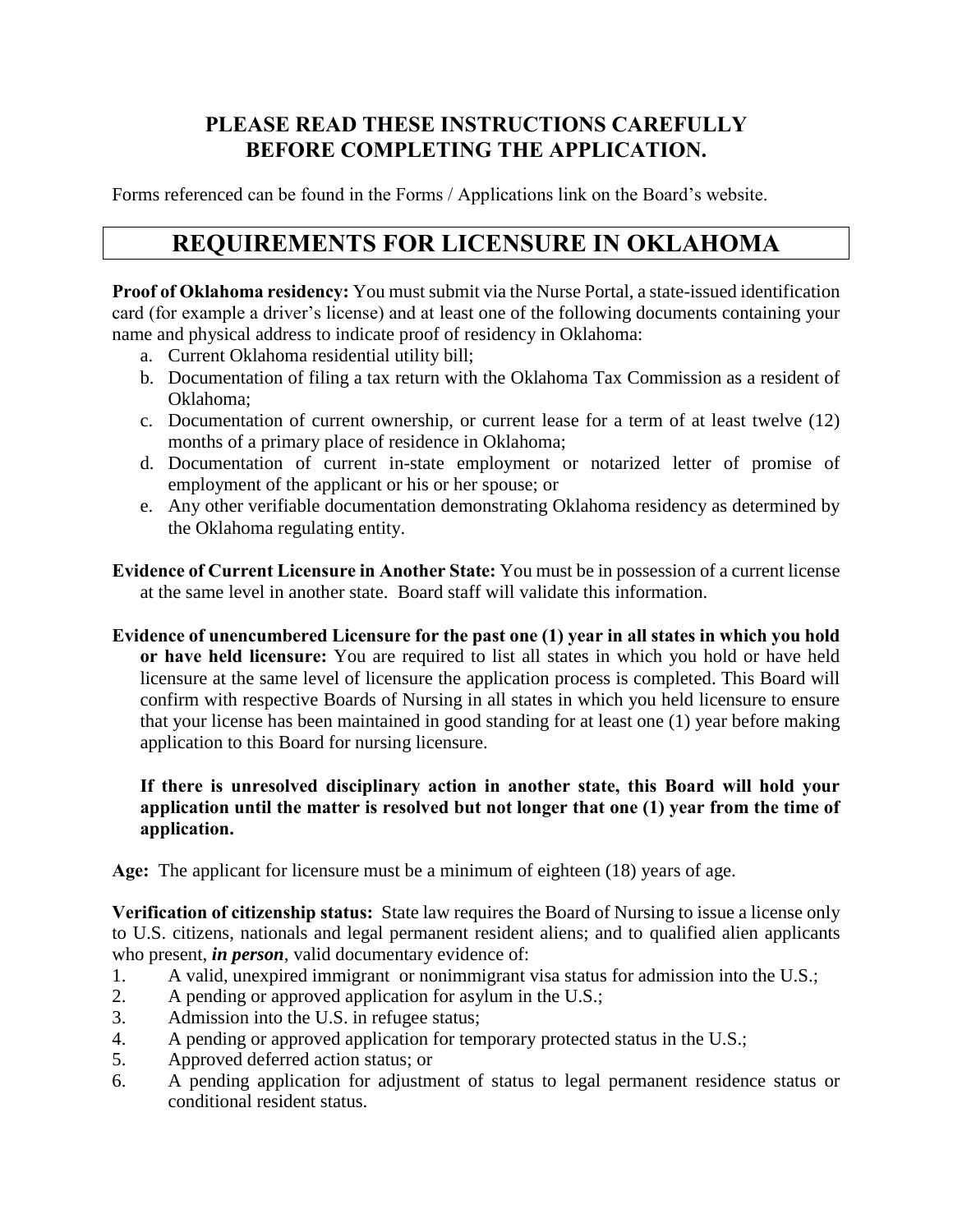### **PLEASE READ THESE INSTRUCTIONS CAREFULLY BEFORE COMPLETING THE APPLICATION.**

Forms referenced can be found in the Forms / Applications link on the Board's website.

## **REQUIREMENTS FOR LICENSURE IN OKLAHOMA**

**Proof of Oklahoma residency:** You must submit via the Nurse Portal, a state-issued identification card (for example a driver's license) and at least one of the following documents containing your name and physical address to indicate proof of residency in Oklahoma:

- a. Current Oklahoma residential utility bill;
- b. Documentation of filing a tax return with the Oklahoma Tax Commission as a resident of Oklahoma;
- c. Documentation of current ownership, or current lease for a term of at least twelve (12) months of a primary place of residence in Oklahoma;
- d. Documentation of current in-state employment or notarized letter of promise of employment of the applicant or his or her spouse; or
- e. Any other verifiable documentation demonstrating Oklahoma residency as determined by the Oklahoma regulating entity.

**Evidence of Current Licensure in Another State:** You must be in possession of a current license at the same level in another state. Board staff will validate this information.

**Evidence of unencumbered Licensure for the past one (1) year in all states in which you hold or have held licensure:** You are required to list all states in which you hold or have held licensure at the same level of licensure the application process is completed. This Board will confirm with respective Boards of Nursing in all states in which you held licensure to ensure that your license has been maintained in good standing for at least one (1) year before making application to this Board for nursing licensure.

#### **If there is unresolved disciplinary action in another state, this Board will hold your application until the matter is resolved but not longer that one (1) year from the time of application.**

**Age:** The applicant for licensure must be a minimum of eighteen (18) years of age.

**Verification of citizenship status:** State law requires the Board of Nursing to issue a license only to U.S. citizens, nationals and legal permanent resident aliens; and to qualified alien applicants who present, *in person*, valid documentary evidence of:

- 1. A valid, unexpired immigrant or nonimmigrant visa status for admission into the U.S.;
- 2. A pending or approved application for asylum in the U.S.;
- 3. Admission into the U.S. in refugee status;
- 4. A pending or approved application for temporary protected status in the U.S.;
- 5. Approved deferred action status; or
- 6. A pending application for adjustment of status to legal permanent residence status or conditional resident status.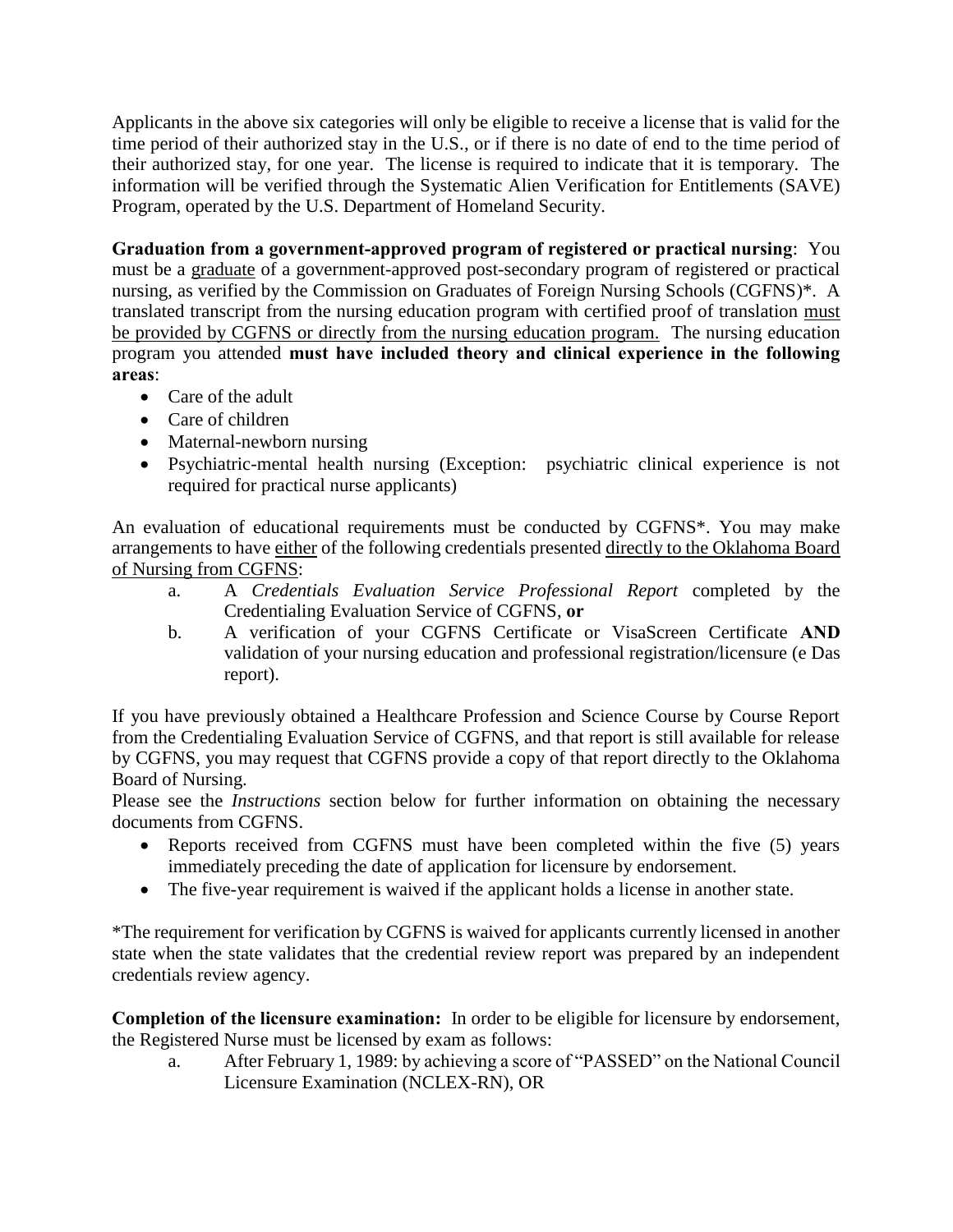Applicants in the above six categories will only be eligible to receive a license that is valid for the time period of their authorized stay in the U.S., or if there is no date of end to the time period of their authorized stay, for one year. The license is required to indicate that it is temporary. The information will be verified through the Systematic Alien Verification for Entitlements (SAVE) Program, operated by the U.S. Department of Homeland Security.

**Graduation from a government-approved program of registered or practical nursing**: You must be a graduate of a government-approved post-secondary program of registered or practical nursing, as verified by the Commission on Graduates of Foreign Nursing Schools (CGFNS)\*. A translated transcript from the nursing education program with certified proof of translation must be provided by CGFNS or directly from the nursing education program. The nursing education program you attended **must have included theory and clinical experience in the following areas**:

- Care of the adult
- Care of children
- Maternal-newborn nursing
- Psychiatric-mental health nursing (Exception: psychiatric clinical experience is not required for practical nurse applicants)

An evaluation of educational requirements must be conducted by CGFNS\*. You may make arrangements to have either of the following credentials presented directly to the Oklahoma Board of Nursing from CGFNS:

- a. A *Credentials Evaluation Service Professional Report* completed by the Credentialing Evaluation Service of CGFNS, **or**
- b. A verification of your CGFNS Certificate or VisaScreen Certificate **AND** validation of your nursing education and professional registration/licensure (e Das report).

If you have previously obtained a Healthcare Profession and Science Course by Course Report from the Credentialing Evaluation Service of CGFNS, and that report is still available for release by CGFNS, you may request that CGFNS provide a copy of that report directly to the Oklahoma Board of Nursing.

Please see the *Instructions* section below for further information on obtaining the necessary documents from CGFNS.

- Reports received from CGFNS must have been completed within the five (5) years immediately preceding the date of application for licensure by endorsement.
- The five-year requirement is waived if the applicant holds a license in another state.

\*The requirement for verification by CGFNS is waived for applicants currently licensed in another state when the state validates that the credential review report was prepared by an independent credentials review agency.

**Completion of the licensure examination:** In order to be eligible for licensure by endorsement, the Registered Nurse must be licensed by exam as follows:

a. After February 1, 1989: by achieving a score of "PASSED" on the National Council Licensure Examination (NCLEX-RN), OR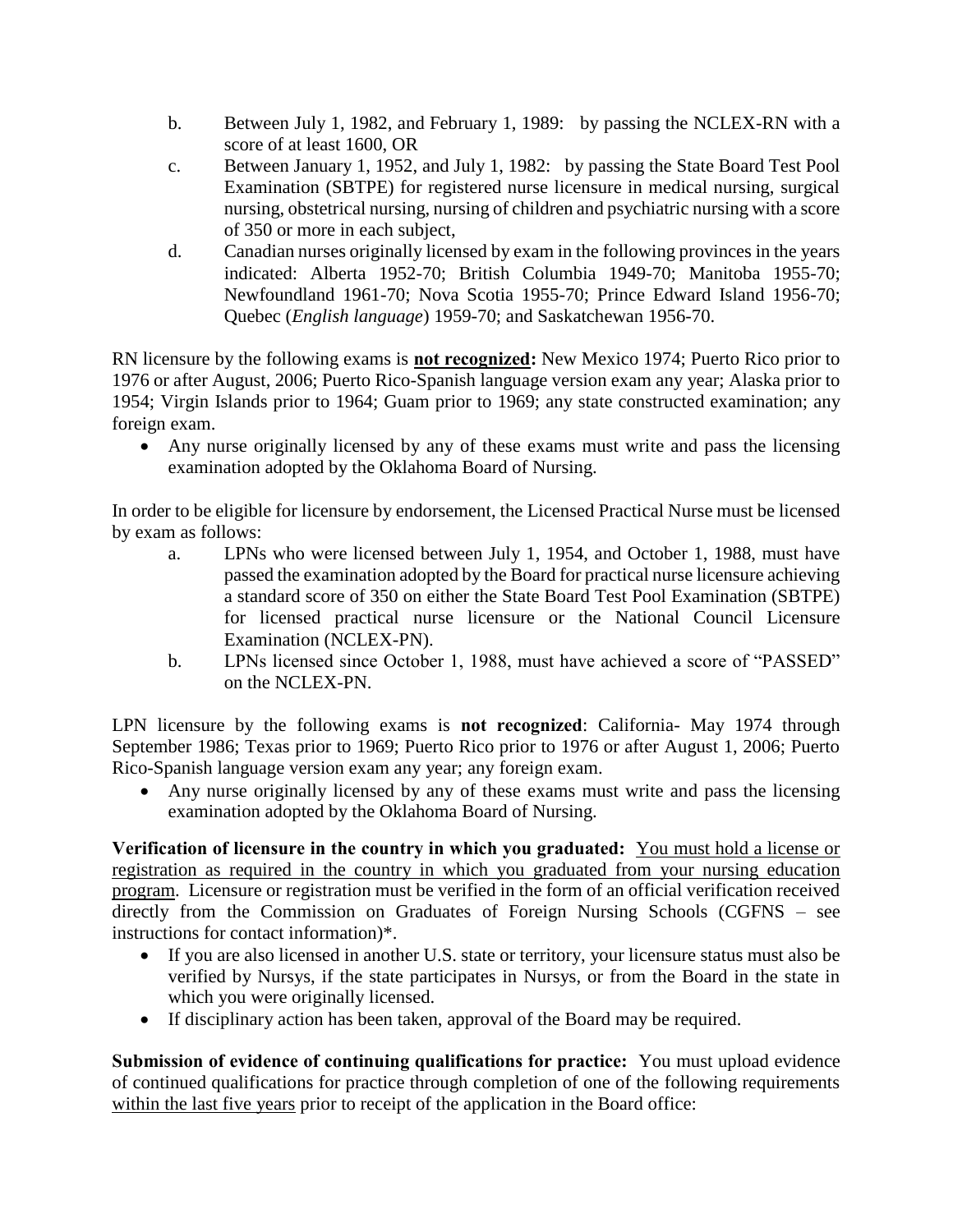- b. Between July 1, 1982, and February 1, 1989: by passing the NCLEX-RN with a score of at least 1600, OR
- c. Between January 1, 1952, and July 1, 1982: by passing the State Board Test Pool Examination (SBTPE) for registered nurse licensure in medical nursing, surgical nursing, obstetrical nursing, nursing of children and psychiatric nursing with a score of 350 or more in each subject,
- d. Canadian nurses originally licensed by exam in the following provinces in the years indicated: Alberta 1952-70; British Columbia 1949-70; Manitoba 1955-70; Newfoundland 1961-70; Nova Scotia 1955-70; Prince Edward Island 1956-70; Quebec (*English language*) 1959-70; and Saskatchewan 1956-70.

RN licensure by the following exams is **not recognized:** New Mexico 1974; Puerto Rico prior to 1976 or after August, 2006; Puerto Rico-Spanish language version exam any year; Alaska prior to 1954; Virgin Islands prior to 1964; Guam prior to 1969; any state constructed examination; any foreign exam.

 Any nurse originally licensed by any of these exams must write and pass the licensing examination adopted by the Oklahoma Board of Nursing.

In order to be eligible for licensure by endorsement, the Licensed Practical Nurse must be licensed by exam as follows:

- a. LPNs who were licensed between July 1, 1954, and October 1, 1988, must have passed the examination adopted by the Board for practical nurse licensure achieving a standard score of 350 on either the State Board Test Pool Examination (SBTPE) for licensed practical nurse licensure or the National Council Licensure Examination (NCLEX-PN).
- b. LPNs licensed since October 1, 1988, must have achieved a score of "PASSED" on the NCLEX-PN.

LPN licensure by the following exams is **not recognized**: California- May 1974 through September 1986; Texas prior to 1969; Puerto Rico prior to 1976 or after August 1, 2006; Puerto Rico-Spanish language version exam any year; any foreign exam.

 Any nurse originally licensed by any of these exams must write and pass the licensing examination adopted by the Oklahoma Board of Nursing.

**Verification of licensure in the country in which you graduated:** You must hold a license or registration as required in the country in which you graduated from your nursing education program. Licensure or registration must be verified in the form of an official verification received directly from the Commission on Graduates of Foreign Nursing Schools (CGFNS – see instructions for contact information)\*.

- If you are also licensed in another U.S. state or territory, your licensure status must also be verified by Nursys, if the state participates in Nursys, or from the Board in the state in which you were originally licensed.
- If disciplinary action has been taken, approval of the Board may be required.

**Submission of evidence of continuing qualifications for practice:** You must upload evidence of continued qualifications for practice through completion of one of the following requirements within the last five years prior to receipt of the application in the Board office: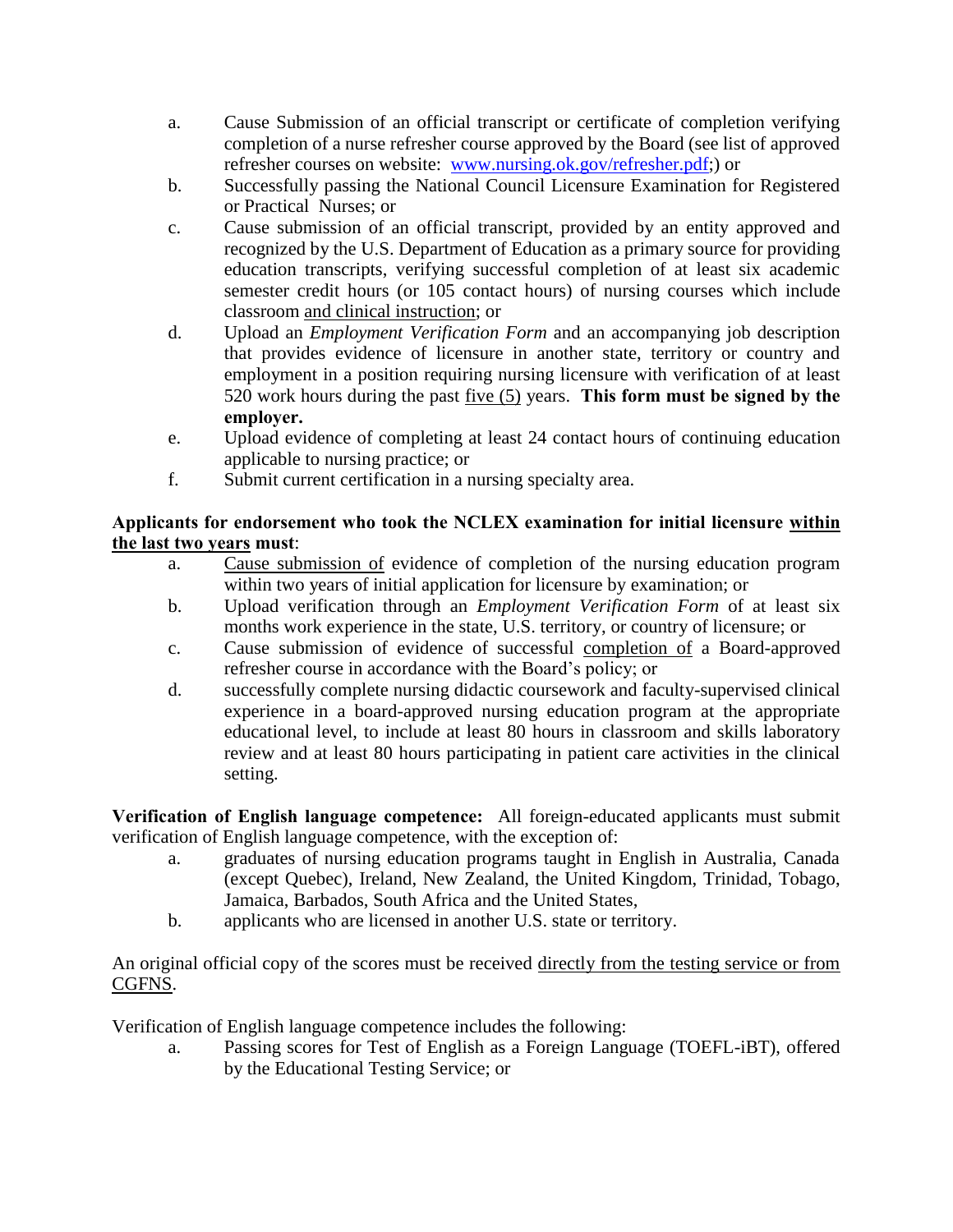- a. Cause Submission of an official transcript or certificate of completion verifying completion of a nurse refresher course approved by the Board (see list of approved refresher courses on website: [www.nursing.ok.gov/refresher.pdf;](http://www.ok.gov/nursing/refresher.pdf)) or
- b. Successfully passing the National Council Licensure Examination for Registered or Practical Nurses; or
- c. Cause submission of an official transcript, provided by an entity approved and recognized by the U.S. Department of Education as a primary source for providing education transcripts, verifying successful completion of at least six academic semester credit hours (or 105 contact hours) of nursing courses which include classroom and clinical instruction; or
- d. Upload an *Employment Verification Form* and an accompanying job description that provides evidence of licensure in another state, territory or country and employment in a position requiring nursing licensure with verification of at least 520 work hours during the past five (5) years. **This form must be signed by the employer.**
- e. Upload evidence of completing at least 24 contact hours of continuing education applicable to nursing practice; or
- f. Submit current certification in a nursing specialty area.

#### **Applicants for endorsement who took the NCLEX examination for initial licensure within the last two years must**:

- a. Cause submission of evidence of completion of the nursing education program within two years of initial application for licensure by examination; or
- b. Upload verification through an *Employment Verification Form* of at least six months work experience in the state, U.S. territory, or country of licensure; or
- c. Cause submission of evidence of successful completion of a Board-approved refresher course in accordance with the Board's policy; or
- d. successfully complete nursing didactic coursework and faculty-supervised clinical experience in a board-approved nursing education program at the appropriate educational level, to include at least 80 hours in classroom and skills laboratory review and at least 80 hours participating in patient care activities in the clinical setting.

**Verification of English language competence:** All foreign-educated applicants must submit verification of English language competence, with the exception of:

- a. graduates of nursing education programs taught in English in Australia, Canada (except Quebec), Ireland, New Zealand, the United Kingdom, Trinidad, Tobago, Jamaica, Barbados, South Africa and the United States,
- b. applicants who are licensed in another U.S. state or territory.

An original official copy of the scores must be received directly from the testing service or from CGFNS.

Verification of English language competence includes the following:

a. Passing scores for Test of English as a Foreign Language (TOEFL-iBT), offered by the Educational Testing Service; or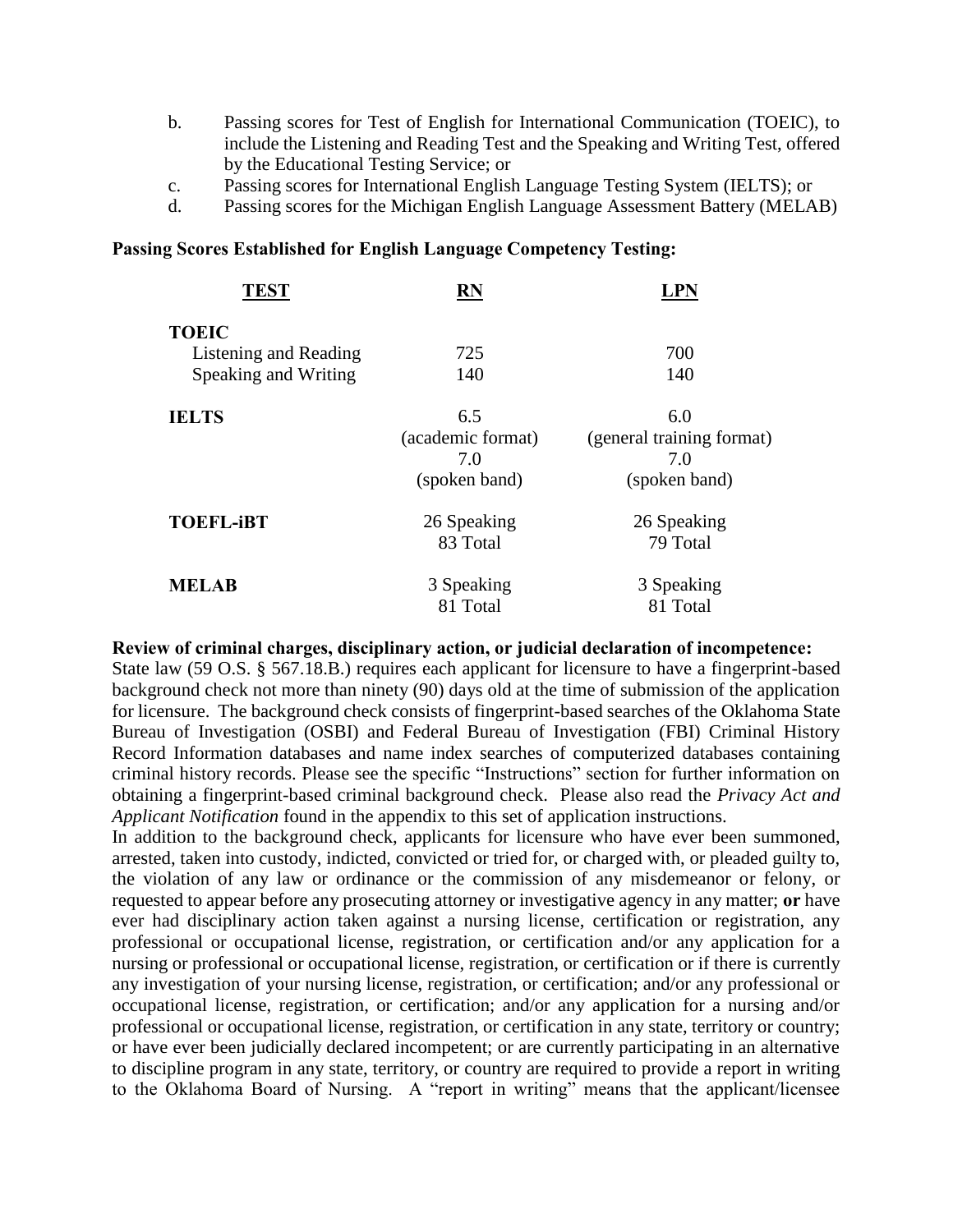- b. Passing scores for Test of English for International Communication (TOEIC), to include the Listening and Reading Test and the Speaking and Writing Test, offered by the Educational Testing Service; or
- c. Passing scores for International English Language Testing System (IELTS); or
- d. Passing scores for the Michigan English Language Assessment Battery (MELAB)

#### **Passing Scores Established for English Language Competency Testing:**

| <b>TEST</b>           | <b>RN</b>         | LPN                       |
|-----------------------|-------------------|---------------------------|
| <b>TOEIC</b>          |                   |                           |
| Listening and Reading | 725               | 700                       |
| Speaking and Writing  | 140               | 140                       |
| <b>IELTS</b>          | 6.5               | 6.0                       |
|                       | (academic format) | (general training format) |
|                       | 7.0               | 7.0                       |
|                       | (spoken band)     | (spoken band)             |
| <b>TOEFL-iBT</b>      | 26 Speaking       | 26 Speaking               |
|                       | 83 Total          | 79 Total                  |
| <b>MELAB</b>          | 3 Speaking        | 3 Speaking                |
|                       | 81 Total          | 81 Total                  |

#### **Review of criminal charges, disciplinary action, or judicial declaration of incompetence:**

State law (59 O.S. § 567.18.B.) requires each applicant for licensure to have a fingerprint-based background check not more than ninety (90) days old at the time of submission of the application for licensure. The background check consists of fingerprint-based searches of the Oklahoma State Bureau of Investigation (OSBI) and Federal Bureau of Investigation (FBI) Criminal History Record Information databases and name index searches of computerized databases containing criminal history records. Please see the specific "Instructions" section for further information on obtaining a fingerprint-based criminal background check. Please also read the *Privacy Act and Applicant Notification* found in the appendix to this set of application instructions.

In addition to the background check, applicants for licensure who have ever been summoned, arrested, taken into custody, indicted, convicted or tried for, or charged with, or pleaded guilty to, the violation of any law or ordinance or the commission of any misdemeanor or felony, or requested to appear before any prosecuting attorney or investigative agency in any matter; **or** have ever had disciplinary action taken against a nursing license, certification or registration, any professional or occupational license, registration, or certification and/or any application for a nursing or professional or occupational license, registration, or certification or if there is currently any investigation of your nursing license, registration, or certification; and/or any professional or occupational license, registration, or certification; and/or any application for a nursing and/or professional or occupational license, registration, or certification in any state, territory or country; or have ever been judicially declared incompetent; or are currently participating in an alternative to discipline program in any state, territory, or country are required to provide a report in writing to the Oklahoma Board of Nursing. A "report in writing" means that the applicant/licensee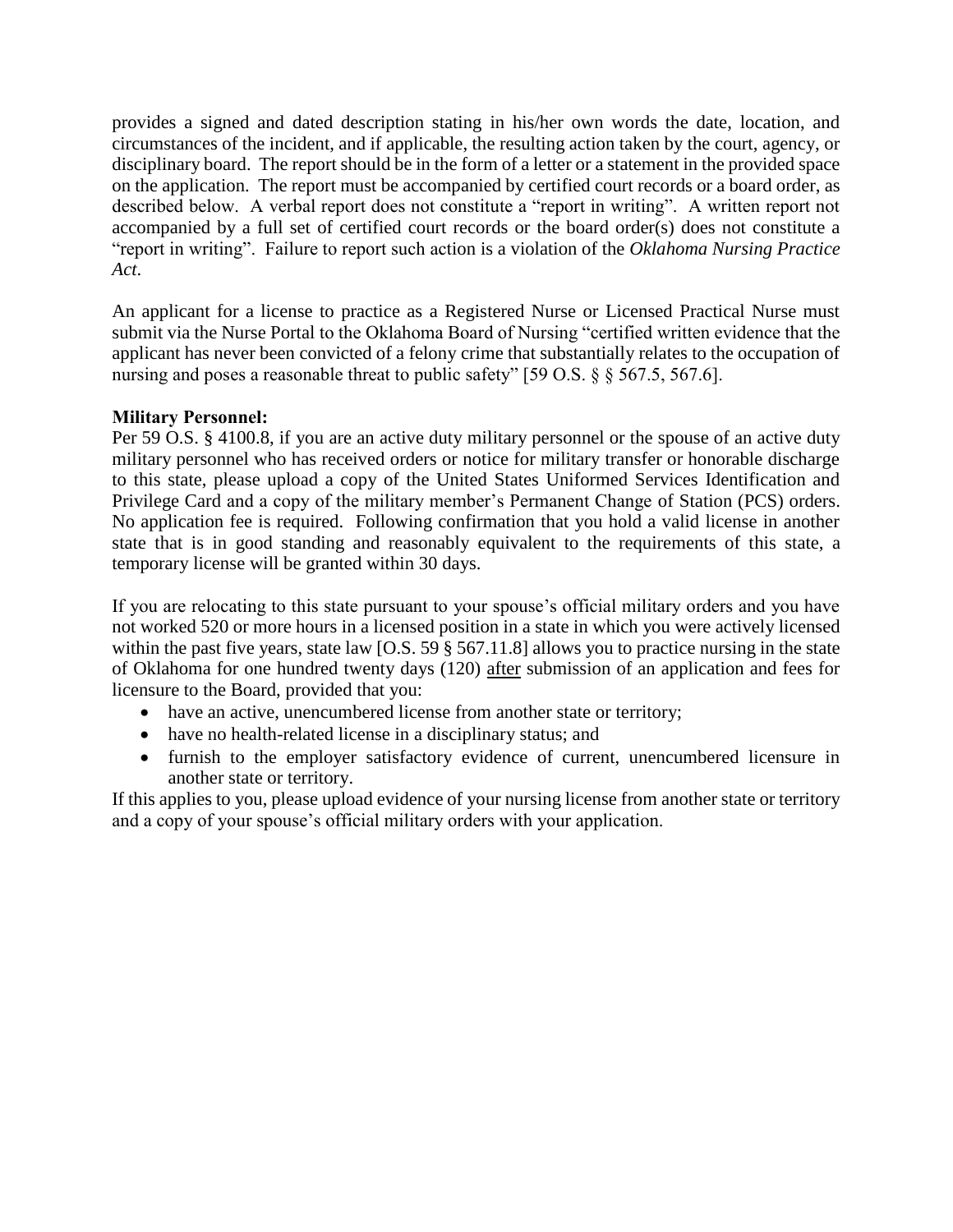provides a signed and dated description stating in his/her own words the date, location, and circumstances of the incident, and if applicable, the resulting action taken by the court, agency, or disciplinary board. The report should be in the form of a letter or a statement in the provided space on the application. The report must be accompanied by certified court records or a board order, as described below. A verbal report does not constitute a "report in writing". A written report not accompanied by a full set of certified court records or the board order(s) does not constitute a "report in writing". Failure to report such action is a violation of the *Oklahoma Nursing Practice Act*.

An applicant for a license to practice as a Registered Nurse or Licensed Practical Nurse must submit via the Nurse Portal to the Oklahoma Board of Nursing "certified written evidence that the applicant has never been convicted of a felony crime that substantially relates to the occupation of nursing and poses a reasonable threat to public safety" [59 O.S. § § 567.5, 567.6].

#### **Military Personnel:**

Per 59 O.S. § 4100.8, if you are an active duty military personnel or the spouse of an active duty military personnel who has received orders or notice for military transfer or honorable discharge to this state, please upload a copy of the United States Uniformed Services Identification and Privilege Card and a copy of the military member's Permanent Change of Station (PCS) orders. No application fee is required. Following confirmation that you hold a valid license in another state that is in good standing and reasonably equivalent to the requirements of this state, a temporary license will be granted within 30 days.

If you are relocating to this state pursuant to your spouse's official military orders and you have not worked 520 or more hours in a licensed position in a state in which you were actively licensed within the past five years, state law [O.S. 59  $\S$  567.11.8] allows you to practice nursing in the state of Oklahoma for one hundred twenty days (120) after submission of an application and fees for licensure to the Board, provided that you:

- have an active, unencumbered license from another state or territory;
- have no health-related license in a disciplinary status; and
- furnish to the employer satisfactory evidence of current, unencumbered licensure in another state or territory.

If this applies to you, please upload evidence of your nursing license from another state or territory and a copy of your spouse's official military orders with your application.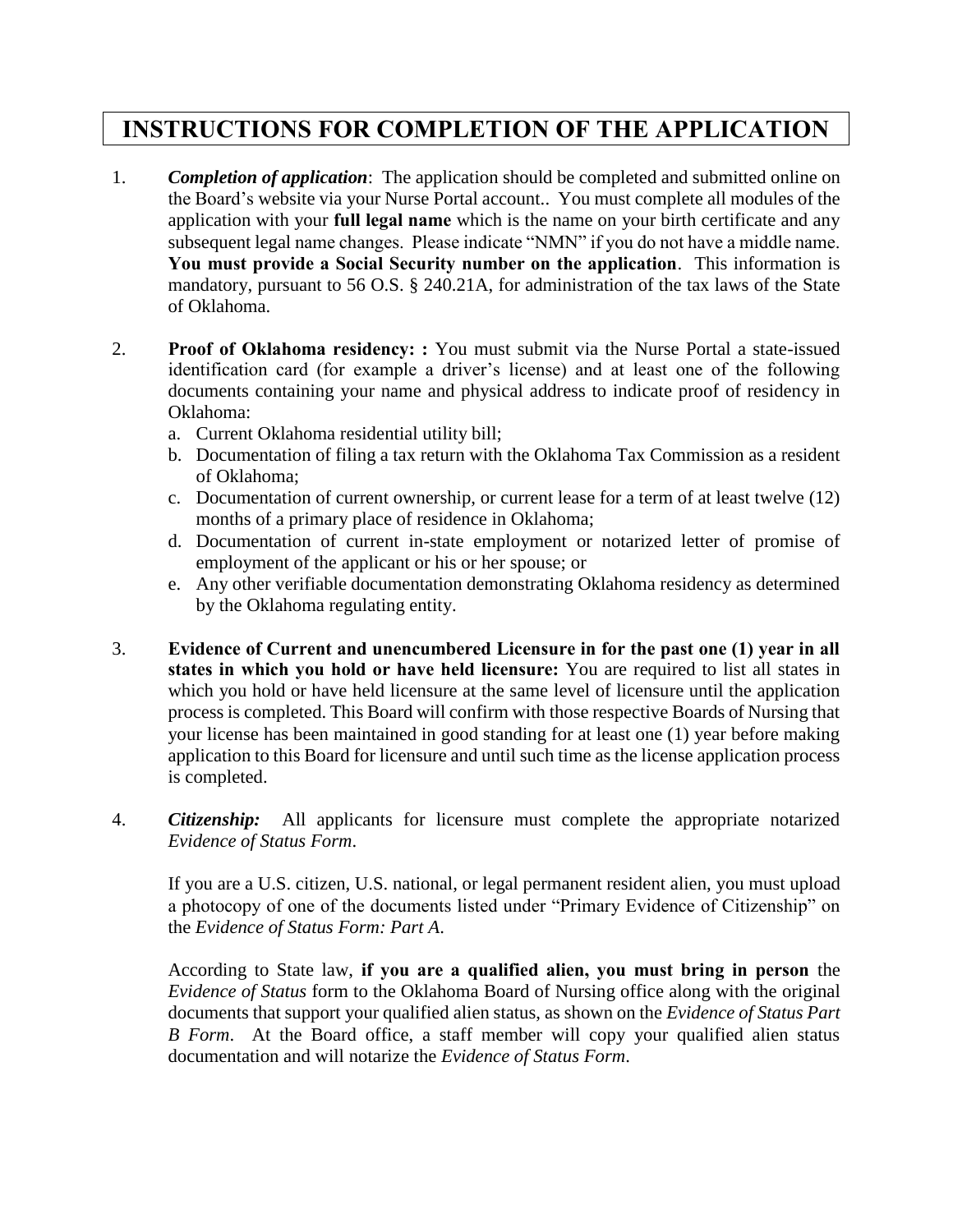# **INSTRUCTIONS FOR COMPLETION OF THE APPLICATION**

- 1. *Completion of application*: The application should be completed and submitted online on the Board's website via your Nurse Portal account.. You must complete all modules of the application with your **full legal name** which is the name on your birth certificate and any subsequent legal name changes. Please indicate "NMN" if you do not have a middle name. **You must provide a Social Security number on the application**. This information is mandatory, pursuant to 56 O.S. § 240.21A, for administration of the tax laws of the State of Oklahoma.
- 2. **Proof of Oklahoma residency: :** You must submit via the Nurse Portal a state-issued identification card (for example a driver's license) and at least one of the following documents containing your name and physical address to indicate proof of residency in Oklahoma:
	- a. Current Oklahoma residential utility bill;
	- b. Documentation of filing a tax return with the Oklahoma Tax Commission as a resident of Oklahoma;
	- c. Documentation of current ownership, or current lease for a term of at least twelve (12) months of a primary place of residence in Oklahoma;
	- d. Documentation of current in-state employment or notarized letter of promise of employment of the applicant or his or her spouse; or
	- e. Any other verifiable documentation demonstrating Oklahoma residency as determined by the Oklahoma regulating entity.
- 3. **Evidence of Current and unencumbered Licensure in for the past one (1) year in all states in which you hold or have held licensure:** You are required to list all states in which you hold or have held licensure at the same level of licensure until the application process is completed. This Board will confirm with those respective Boards of Nursing that your license has been maintained in good standing for at least one (1) year before making application to this Board for licensure and until such time as the license application process is completed.
- 4. *Citizenship:* All applicants for licensure must complete the appropriate notarized *Evidence of Status Form*.

If you are a U.S. citizen, U.S. national, or legal permanent resident alien, you must upload a photocopy of one of the documents listed under "Primary Evidence of Citizenship" on the *Evidence of Status Form: Part A*.

According to State law, **if you are a qualified alien, you must bring in person** the *Evidence of Status* form to the Oklahoma Board of Nursing office along with the original documents that support your qualified alien status, as shown on the *Evidence of Status Part B Form*. At the Board office, a staff member will copy your qualified alien status documentation and will notarize the *Evidence of Status Form*.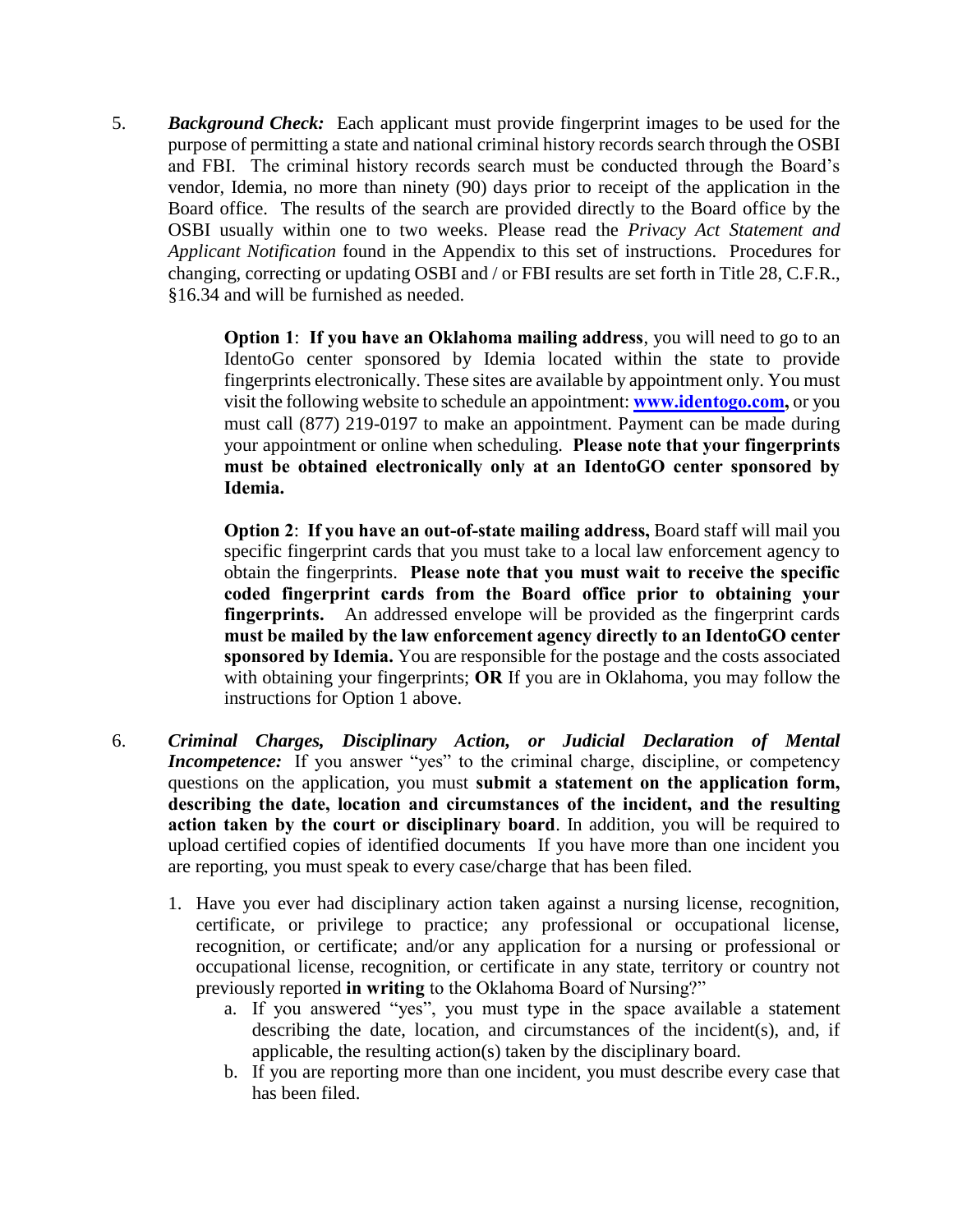5. *Background Check:* Each applicant must provide fingerprint images to be used for the purpose of permitting a state and national criminal history records search through the OSBI and FBI. The criminal history records search must be conducted through the Board's vendor, Idemia, no more than ninety (90) days prior to receipt of the application in the Board office. The results of the search are provided directly to the Board office by the OSBI usually within one to two weeks. Please read the *Privacy Act Statement and Applicant Notification* found in the Appendix to this set of instructions. Procedures for changing, correcting or updating OSBI and / or FBI results are set forth in Title 28, C.F.R., §16.34 and will be furnished as needed.

> **Option 1**: **If you have an Oklahoma mailing address**, you will need to go to an IdentoGo center sponsored by Idemia located within the state to provide fingerprints electronically. These sites are available by appointment only. You must visit the following website to schedule an appointment: **[www.identogo.com,](http://www.identogo.com/)** or you must call (877) 219-0197 to make an appointment. Payment can be made during your appointment or online when scheduling. **Please note that your fingerprints must be obtained electronically only at an IdentoGO center sponsored by Idemia.**

> **Option 2**: **If you have an out-of-state mailing address,** Board staff will mail you specific fingerprint cards that you must take to a local law enforcement agency to obtain the fingerprints. **Please note that you must wait to receive the specific coded fingerprint cards from the Board office prior to obtaining your fingerprints.** An addressed envelope will be provided as the fingerprint cards **must be mailed by the law enforcement agency directly to an IdentoGO center sponsored by Idemia.** You are responsible for the postage and the costs associated with obtaining your fingerprints; **OR** If you are in Oklahoma, you may follow the instructions for Option 1 above.

- 6. *Criminal Charges, Disciplinary Action, or Judicial Declaration of Mental Incompetence:* If you answer "yes" to the criminal charge, discipline, or competency questions on the application, you must **submit a statement on the application form, describing the date, location and circumstances of the incident, and the resulting action taken by the court or disciplinary board**. In addition, you will be required to upload certified copies of identified documents If you have more than one incident you are reporting, you must speak to every case/charge that has been filed.
	- 1. Have you ever had disciplinary action taken against a nursing license, recognition, certificate, or privilege to practice; any professional or occupational license, recognition, or certificate; and/or any application for a nursing or professional or occupational license, recognition, or certificate in any state, territory or country not previously reported **in writing** to the Oklahoma Board of Nursing?"
		- a. If you answered "yes", you must type in the space available a statement describing the date, location, and circumstances of the incident(s), and, if applicable, the resulting action(s) taken by the disciplinary board.
		- b. If you are reporting more than one incident, you must describe every case that has been filed.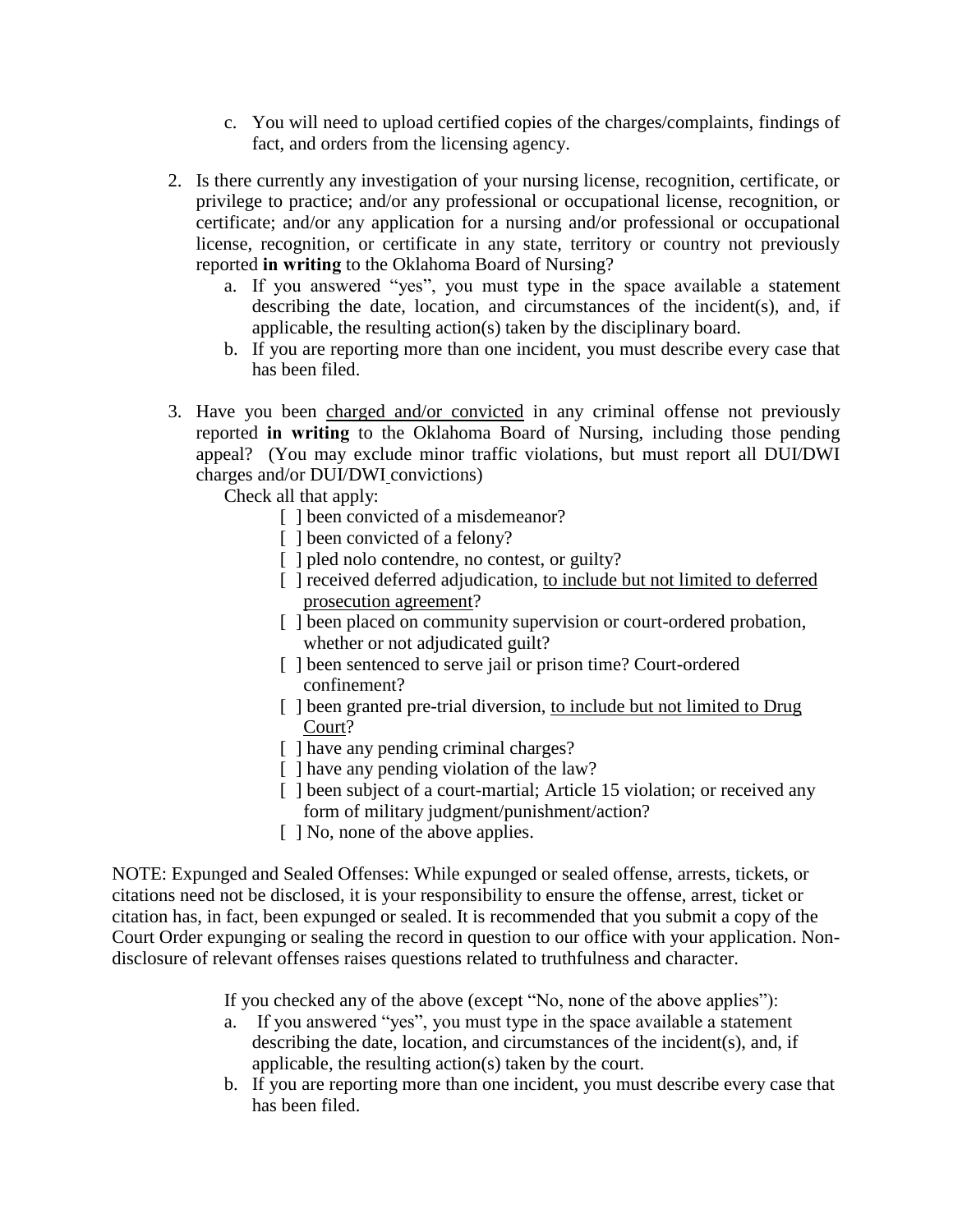- c. You will need to upload certified copies of the charges/complaints, findings of fact, and orders from the licensing agency.
- 2. Is there currently any investigation of your nursing license, recognition, certificate, or privilege to practice; and/or any professional or occupational license, recognition, or certificate; and/or any application for a nursing and/or professional or occupational license, recognition, or certificate in any state, territory or country not previously reported **in writing** to the Oklahoma Board of Nursing?
	- a. If you answered "yes", you must type in the space available a statement describing the date, location, and circumstances of the incident(s), and, if applicable, the resulting action(s) taken by the disciplinary board.
	- b. If you are reporting more than one incident, you must describe every case that has been filed.
- 3. Have you been charged and/or convicted in any criminal offense not previously reported **in writing** to the Oklahoma Board of Nursing, including those pending appeal? (You may exclude minor traffic violations, but must report all DUI/DWI charges and/or DUI/DWI convictions)

Check all that apply:

- [ ] been convicted of a misdemeanor?
- [ ] been convicted of a felony?
- [ ] pled nolo contendre, no contest, or guilty?
- [ ] received deferred adjudication, to include but not limited to deferred prosecution agreement?
- [] been placed on community supervision or court-ordered probation, whether or not adjudicated guilt?
- [ ] been sentenced to serve jail or prison time? Court-ordered confinement?
- [ ] been granted pre-trial diversion, to include but not limited to Drug Court?
- [ ] have any pending criminal charges?
- [ ] have any pending violation of the law?
- [ ] been subject of a court-martial; Article 15 violation; or received any form of military judgment/punishment/action?
- [  $\vert$  No, none of the above applies.

NOTE: Expunged and Sealed Offenses: While expunged or sealed offense, arrests, tickets, or citations need not be disclosed, it is your responsibility to ensure the offense, arrest, ticket or citation has, in fact, been expunged or sealed. It is recommended that you submit a copy of the Court Order expunging or sealing the record in question to our office with your application. Nondisclosure of relevant offenses raises questions related to truthfulness and character.

If you checked any of the above (except "No, none of the above applies"):

- a. If you answered "yes", you must type in the space available a statement describing the date, location, and circumstances of the incident(s), and, if applicable, the resulting action(s) taken by the court.
- b. If you are reporting more than one incident, you must describe every case that has been filed.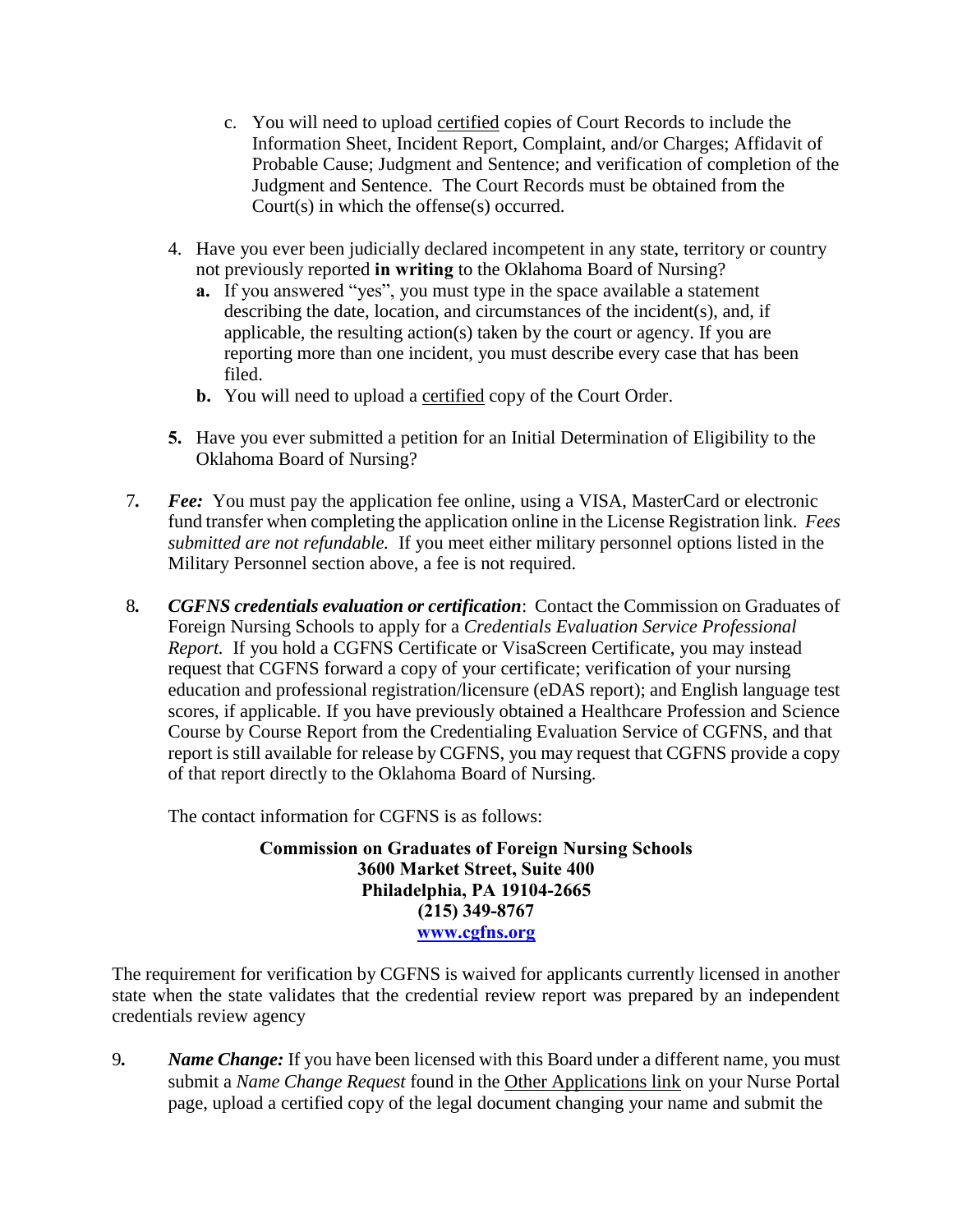- c. You will need to upload certified copies of Court Records to include the Information Sheet, Incident Report, Complaint, and/or Charges; Affidavit of Probable Cause; Judgment and Sentence; and verification of completion of the Judgment and Sentence. The Court Records must be obtained from the Court(s) in which the offense(s) occurred.
- 4. Have you ever been judicially declared incompetent in any state, territory or country not previously reported **in writing** to the Oklahoma Board of Nursing?
	- **a.** If you answered "yes", you must type in the space available a statement describing the date, location, and circumstances of the incident(s), and, if applicable, the resulting action(s) taken by the court or agency. If you are reporting more than one incident, you must describe every case that has been filed.
	- **b.** You will need to upload a certified copy of the Court Order.
- **5.** Have you ever submitted a petition for an Initial Determination of Eligibility to the Oklahoma Board of Nursing?
- 7*. Fee:* You must pay the application fee online, using a VISA, MasterCard or electronic fund transfer when completing the application online in the License Registration link. *Fees submitted are not refundable.* If you meet either military personnel options listed in the Military Personnel section above, a fee is not required.
- 8*. CGFNS credentials evaluation or certification*: Contact the Commission on Graduates of Foreign Nursing Schools to apply for a *Credentials Evaluation Service Professional Report.* If you hold a CGFNS Certificate or VisaScreen Certificate, you may instead request that CGFNS forward a copy of your certificate; verification of your nursing education and professional registration/licensure (eDAS report); and English language test scores, if applicable. If you have previously obtained a Healthcare Profession and Science Course by Course Report from the Credentialing Evaluation Service of CGFNS, and that report is still available for release by CGFNS, you may request that CGFNS provide a copy of that report directly to the Oklahoma Board of Nursing.

The contact information for CGFNS is as follows:

**Commission on Graduates of Foreign Nursing Schools 3600 Market Street, Suite 400 Philadelphia, PA 19104-2665 (215) 349-8767 [www.cgfns.org](http://www.cgfns.org/)**

The requirement for verification by CGFNS is waived for applicants currently licensed in another state when the state validates that the credential review report was prepared by an independent credentials review agency

9*. Name Change:* If you have been licensed with this Board under a different name, you must submit a *Name Change Request* found in the Other Applications link on your Nurse Portal page, upload a certified copy of the legal document changing your name and submit the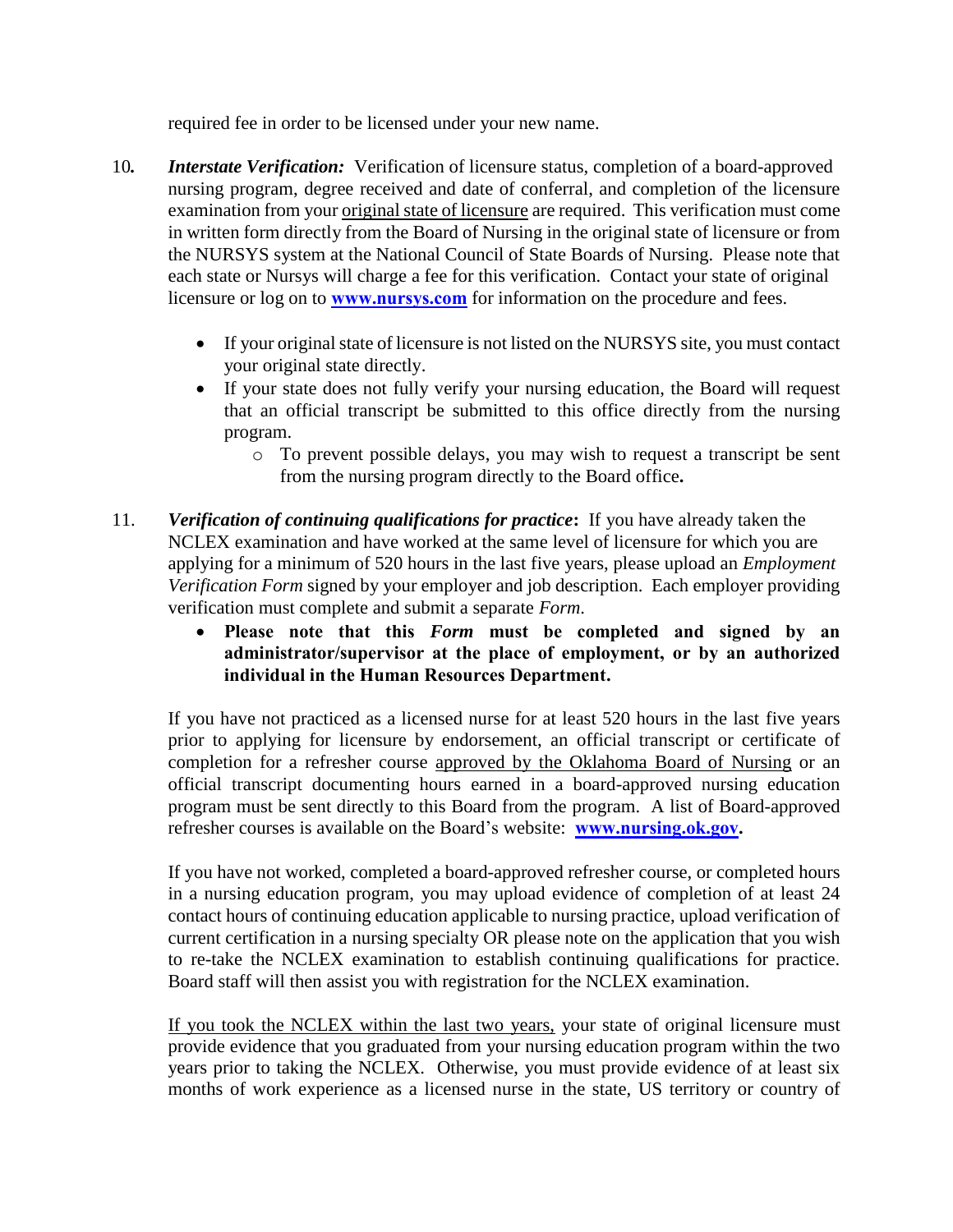required fee in order to be licensed under your new name.

- 10*. Interstate Verification:* Verification of licensure status, completion of a board-approved nursing program, degree received and date of conferral, and completion of the licensure examination from your original state of licensure are required. This verification must come in written form directly from the Board of Nursing in the original state of licensure or from the NURSYS system at the National Council of State Boards of Nursing. Please note that each state or Nursys will charge a fee for this verification. Contact your state of original licensure or log on to **[www.nursys.com](http://www.nursys.com/)** for information on the procedure and fees.
	- If your original state of licensure is not listed on the NURSYS site, you must contact your original state directly.
	- If your state does not fully verify your nursing education, the Board will request that an official transcript be submitted to this office directly from the nursing program.
		- o To prevent possible delays, you may wish to request a transcript be sent from the nursing program directly to the Board office**.**
- 11. *Verification of continuing qualifications for practice***:** If you have already taken the NCLEX examination and have worked at the same level of licensure for which you are applying for a minimum of 520 hours in the last five years, please upload an *Employment Verification Form* signed by your employer and job description. Each employer providing verification must complete and submit a separate *Form*.
	- **Please note that this** *Form* **must be completed and signed by an administrator/supervisor at the place of employment, or by an authorized individual in the Human Resources Department.**

If you have not practiced as a licensed nurse for at least 520 hours in the last five years prior to applying for licensure by endorsement, an official transcript or certificate of completion for a refresher course approved by the Oklahoma Board of Nursing or an official transcript documenting hours earned in a board-approved nursing education program must be sent directly to this Board from the program. A list of Board-approved refresher courses is available on the Board's website: **[www.nursing.ok.gov.](http://www.ok.gov/nursing)** 

If you have not worked, completed a board-approved refresher course, or completed hours in a nursing education program, you may upload evidence of completion of at least 24 contact hours of continuing education applicable to nursing practice, upload verification of current certification in a nursing specialty OR please note on the application that you wish to re-take the NCLEX examination to establish continuing qualifications for practice. Board staff will then assist you with registration for the NCLEX examination.

If you took the NCLEX within the last two years, your state of original licensure must provide evidence that you graduated from your nursing education program within the two years prior to taking the NCLEX. Otherwise, you must provide evidence of at least six months of work experience as a licensed nurse in the state, US territory or country of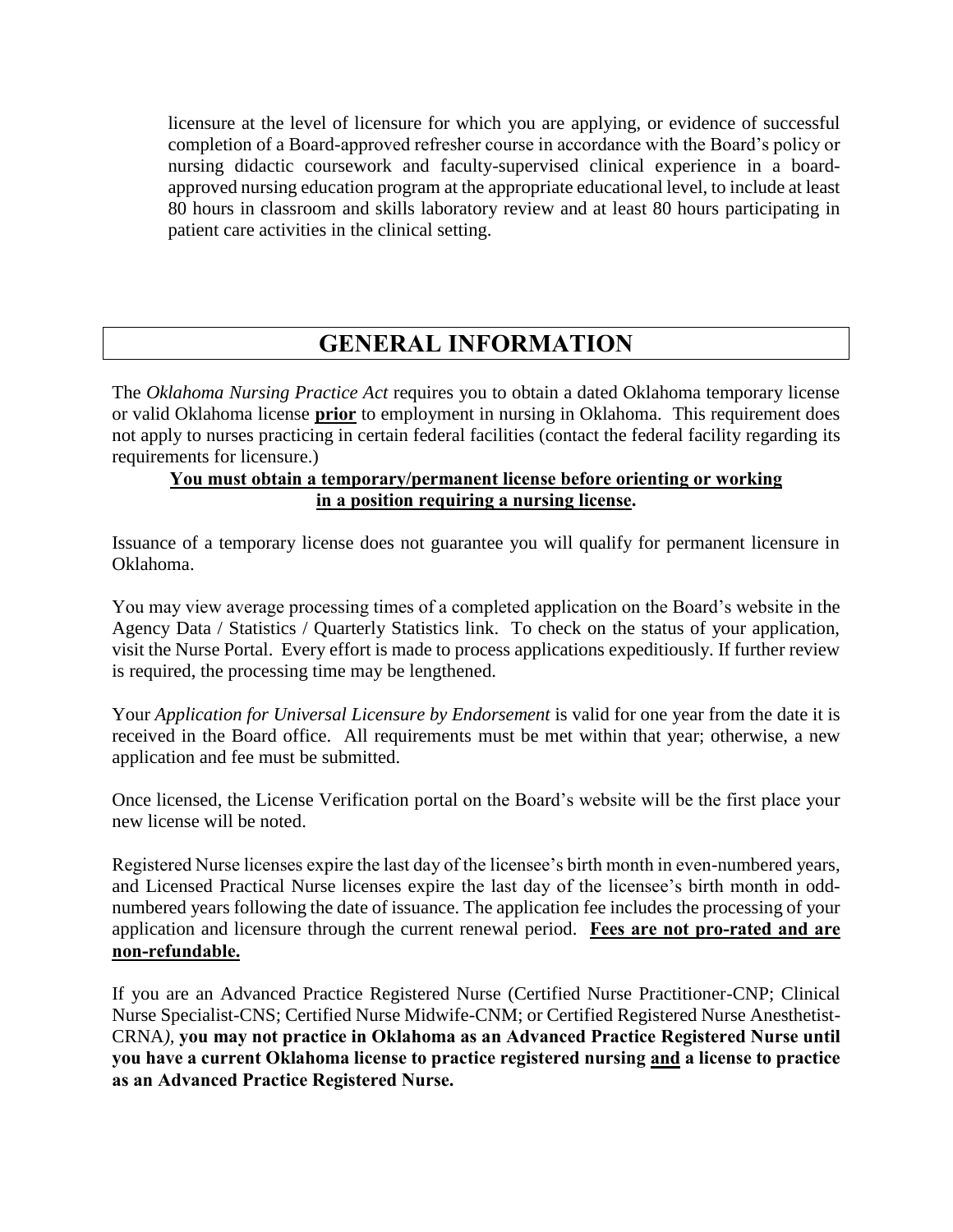licensure at the level of licensure for which you are applying, or evidence of successful completion of a Board-approved refresher course in accordance with the Board's policy or nursing didactic coursework and faculty-supervised clinical experience in a boardapproved nursing education program at the appropriate educational level, to include at least 80 hours in classroom and skills laboratory review and at least 80 hours participating in patient care activities in the clinical setting.

## **GENERAL INFORMATION**

The *Oklahoma Nursing Practice Act* requires you to obtain a dated Oklahoma temporary license or valid Oklahoma license **prior** to employment in nursing in Oklahoma. This requirement does not apply to nurses practicing in certain federal facilities (contact the federal facility regarding its requirements for licensure.)

#### **You must obtain a temporary/permanent license before orienting or working in a position requiring a nursing license.**

Issuance of a temporary license does not guarantee you will qualify for permanent licensure in Oklahoma.

You may view average processing times of a completed application on the Board's website in the Agency Data / Statistics / Quarterly Statistics link. To check on the status of your application, visit the Nurse Portal. Every effort is made to process applications expeditiously. If further review is required, the processing time may be lengthened.

Your *Application for Universal Licensure by Endorsement* is valid for one year from the date it is received in the Board office. All requirements must be met within that year; otherwise, a new application and fee must be submitted.

Once licensed, the License Verification portal on the Board's website will be the first place your new license will be noted.

Registered Nurse licenses expire the last day of the licensee's birth month in even-numbered years, and Licensed Practical Nurse licenses expire the last day of the licensee's birth month in oddnumbered years following the date of issuance. The application fee includes the processing of your application and licensure through the current renewal period. **Fees are not pro-rated and are non-refundable.**

If you are an Advanced Practice Registered Nurse (Certified Nurse Practitioner-CNP; Clinical Nurse Specialist-CNS; Certified Nurse Midwife-CNM; or Certified Registered Nurse Anesthetist-CRNA*),* **you may not practice in Oklahoma as an Advanced Practice Registered Nurse until you have a current Oklahoma license to practice registered nursing and a license to practice as an Advanced Practice Registered Nurse.**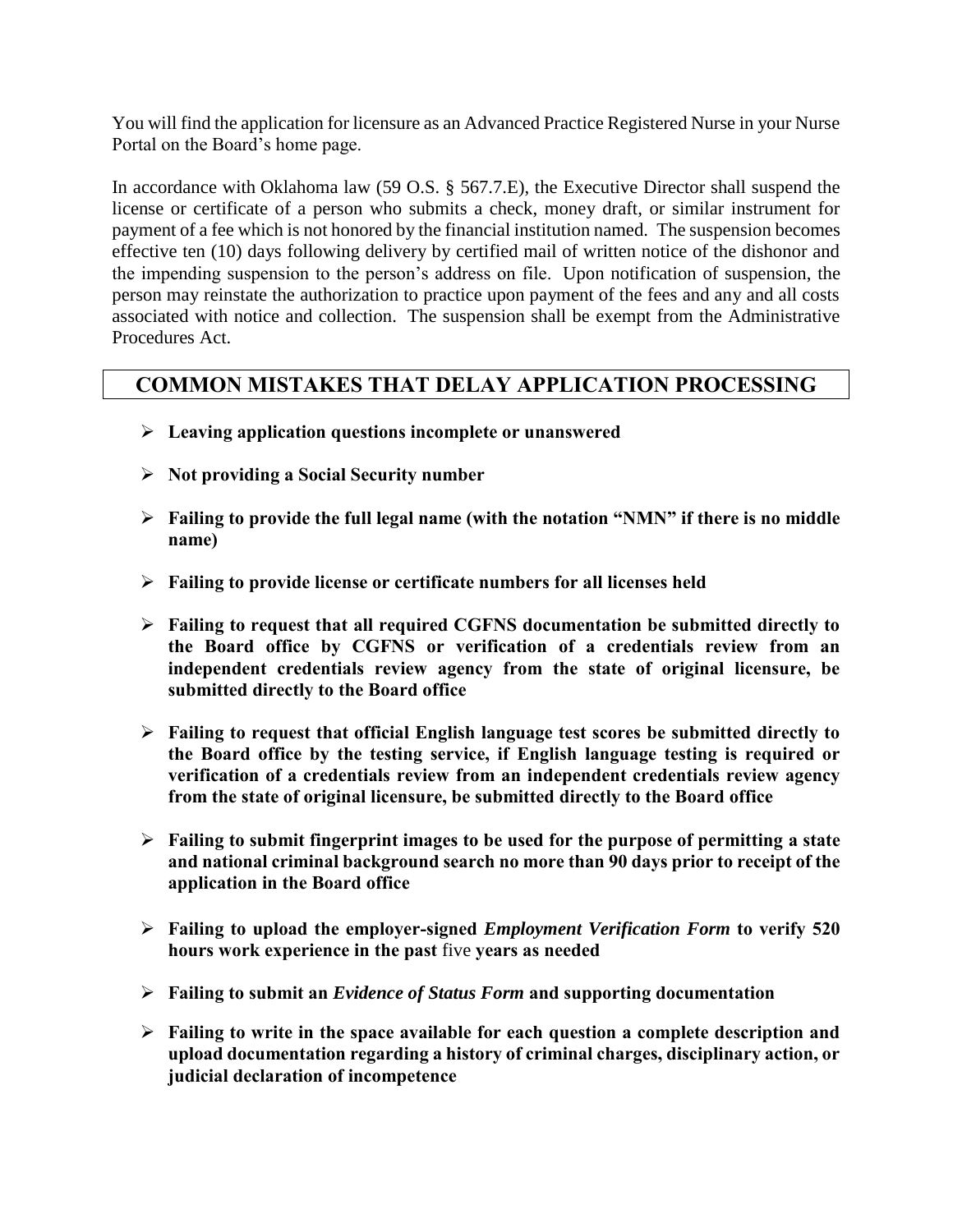You will find the application for licensure as an Advanced Practice Registered Nurse in your Nurse Portal on the Board's home page.

In accordance with Oklahoma law (59 O.S. § 567.7.E), the Executive Director shall suspend the license or certificate of a person who submits a check, money draft, or similar instrument for payment of a fee which is not honored by the financial institution named. The suspension becomes effective ten (10) days following delivery by certified mail of written notice of the dishonor and the impending suspension to the person's address on file. Upon notification of suspension, the person may reinstate the authorization to practice upon payment of the fees and any and all costs associated with notice and collection. The suspension shall be exempt from the Administrative Procedures Act.

### **COMMON MISTAKES THAT DELAY APPLICATION PROCESSING**

- **Leaving application questions incomplete or unanswered**
- **Not providing a Social Security number**
- **Failing to provide the full legal name (with the notation "NMN" if there is no middle name)**
- **Failing to provide license or certificate numbers for all licenses held**
- **Failing to request that all required CGFNS documentation be submitted directly to the Board office by CGFNS or verification of a credentials review from an independent credentials review agency from the state of original licensure, be submitted directly to the Board office**
- **Failing to request that official English language test scores be submitted directly to the Board office by the testing service, if English language testing is required or verification of a credentials review from an independent credentials review agency from the state of original licensure, be submitted directly to the Board office**
- **Failing to submit fingerprint images to be used for the purpose of permitting a state and national criminal background search no more than 90 days prior to receipt of the application in the Board office**
- **Failing to upload the employer-signed** *Employment Verification Form* **to verify 520 hours work experience in the past** five **years as needed**
- **Failing to submit an** *Evidence of Status Form* **and supporting documentation**
- **Failing to write in the space available for each question a complete description and upload documentation regarding a history of criminal charges, disciplinary action, or judicial declaration of incompetence**